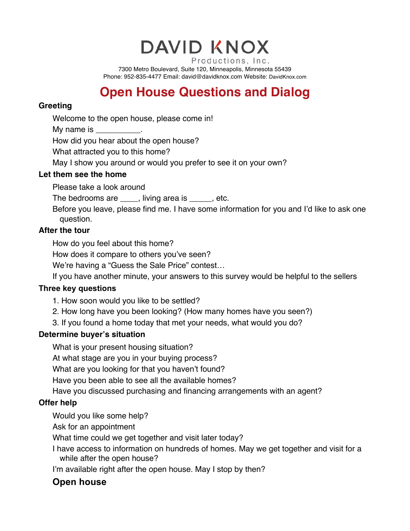**DAVID KNOX** 

Productions, Inc. 7300 Metro Boulevard, Suite 120, Minneapolis, Minnesota 55439 Phone: 952-835-4477 Email: david@davidknox.com Website: DavidKnox.com

# **Open House Questions and Dialog**

#### **Greeting**

Welcome to the open house, please come in!

My name is

How did you hear about the open house?

What attracted you to this home?

May I show you around or would you prefer to see it on your own?

#### **Let them see the home**

Please take a look around

The bedrooms are \_\_\_\_, living area is \_\_\_\_, etc.

Before you leave, please find me. I have some information for you and I'd like to ask one question.

### **After the tour**

How do you feel about this home?

How does it compare to others you've seen?

We're having a "Guess the Sale Price" contest…

If you have another minute, your answers to this survey would be helpful to the sellers

### **Three key questions**

- 1. How soon would you like to be settled?
- 2. How long have you been looking? (How many homes have you seen?)
- 3. If you found a home today that met your needs, what would you do?

### **Determine buyer's situation**

What is your present housing situation?

At what stage are you in your buying process?

What are you looking for that you haven't found?

Have you been able to see all the available homes?

Have you discussed purchasing and financing arrangements with an agent?

### **Offer help**

Would you like some help?

Ask for an appointment

What time could we get together and visit later today?

I have access to information on hundreds of homes. May we get together and visit for a while after the open house?

I'm available right after the open house. May I stop by then?

## **Open house**